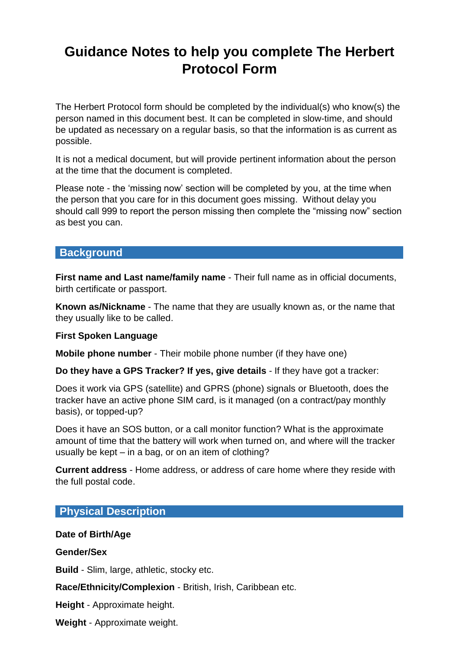# **Guidance Notes to help you complete The Herbert Protocol Form**

The Herbert Protocol form should be completed by the individual(s) who know(s) the person named in this document best. It can be completed in slow-time, and should be updated as necessary on a regular basis, so that the information is as current as possible.

It is not a medical document, but will provide pertinent information about the person at the time that the document is completed.

Please note - the 'missing now' section will be completed by you, at the time when the person that you care for in this document goes missing. Without delay you should call 999 to report the person missing then complete the "missing now" section as best you can.

## **Background**

**First name and Last name/family name** - Their full name as in official documents, birth certificate or passport.

**Known as/Nickname** - The name that they are usually known as, or the name that they usually like to be called.

#### **First Spoken Language**

**Mobile phone number** - Their mobile phone number (if they have one)

**Do they have a GPS Tracker? If yes, give details** - If they have got a tracker:

Does it work via GPS (satellite) and GPRS (phone) signals or Bluetooth, does the tracker have an active phone SIM card, is it managed (on a contract/pay monthly basis), or topped-up?

Does it have an SOS button, or a call monitor function? What is the approximate amount of time that the battery will work when turned on, and where will the tracker usually be kept – in a bag, or on an item of clothing?

**Current address** - Home address, or address of care home where they reside with the full postal code.

# **Physical Description**

#### **Date of Birth/Age**

**Gender/Sex**

**Build** - Slim, large, athletic, stocky etc.

**Race/Ethnicity/Complexion** - British, Irish, Caribbean etc.

**Height** - Approximate height.

**Weight** - Approximate weight.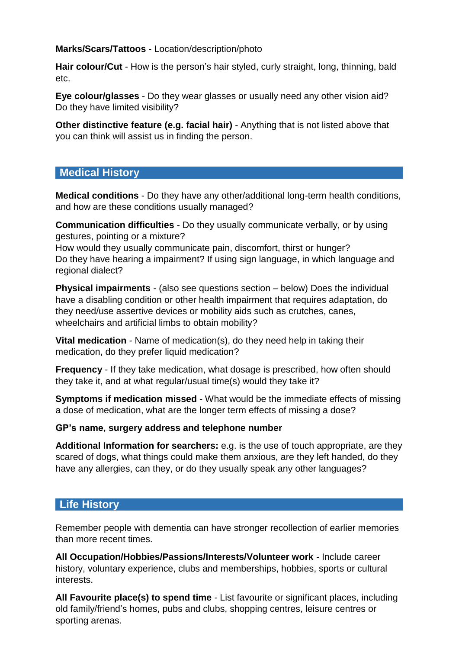## **Marks/Scars/Tattoos** - Location/description/photo

**Hair colour/Cut** - How is the person's hair styled, curly straight, long, thinning, bald etc.

**Eye colour/glasses** - Do they wear glasses or usually need any other vision aid? Do they have limited visibility?

**Other distinctive feature (e.g. facial hair)** - Anything that is not listed above that you can think will assist us in finding the person.

## **Medical History**

**Medical conditions** - Do they have any other/additional long-term health conditions, and how are these conditions usually managed?

**Communication difficulties** - Do they usually communicate verbally, or by using gestures, pointing or a mixture?

How would they usually communicate pain, discomfort, thirst or hunger? Do they have hearing a impairment? If using sign language, in which language and regional dialect?

**Physical impairments** - (also see questions section – below) Does the individual have a disabling condition or other health impairment that requires adaptation, do they need/use assertive devices or [mobility aids](https://www.disabled-world.com/assistivedevices/mobility/) such as crutches, canes, wheelchairs and artificial limbs to obtain mobility?

**Vital medication** *-* Name of medication(s), do they need help in taking their medication, do they prefer liquid medication?

**Frequency** - If they take medication, what dosage is prescribed, how often should they take it, and at what regular/usual time(s) would they take it?

**Symptoms if medication missed** - What would be the immediate effects of missing a dose of medication, what are the longer term effects of missing a dose?

#### **GP's name, surgery address and telephone number**

**Additional Information for searchers:** e.g. is the use of touch appropriate, are they scared of dogs, what things could make them anxious, are they left handed, do they have any allergies, can they, or do they usually speak any other languages?

# **Life History**

Remember people with dementia can have stronger recollection of earlier memories than more recent times.

**All Occupation/Hobbies/Passions/Interests/Volunteer work** - Include career history, voluntary experience, clubs and memberships, hobbies, sports or cultural interests.

**All Favourite place(s) to spend time** - List favourite or significant places, including old family/friend's homes, pubs and clubs, shopping centres, leisure centres or sporting arenas.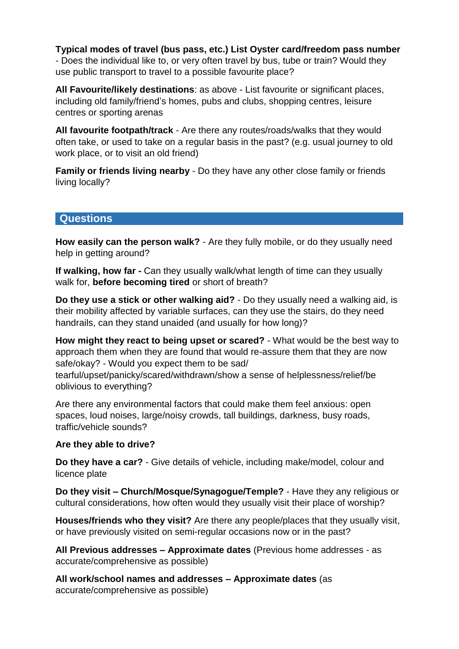**Typical modes of travel (bus pass, etc.) List Oyster card/freedom pass number** - Does the individual like to, or very often travel by bus, tube or train? Would they use public transport to travel to a possible favourite place?

**All Favourite/likely destinations**: as above - List favourite or significant places, including old family/friend's homes, pubs and clubs, shopping centres, leisure centres or sporting arenas

**All favourite footpath/track** - Are there any routes/roads/walks that they would often take, or used to take on a regular basis in the past? (e.g. usual journey to old work place, or to visit an old friend)

**Family or friends living nearby** - Do they have any other close family or friends living locally?

## **Questions**

**How easily can the person walk?** - Are they fully mobile, or do they usually need help in getting around?

**If walking, how far -** Can they usually walk/what length of time can they usually walk for, **before becoming tired** or short of breath?

**Do they use a stick or other walking aid?** - Do they usually need a walking aid, is their mobility affected by variable surfaces, can they use the stairs, do they need handrails, can they stand unaided (and usually for how long)?

**How might they react to being upset or scared?** - What would be the best way to approach them when they are found that would re-assure them that they are now safe/okay? - Would you expect them to be sad/ tearful/upset/panicky/scared/withdrawn/show a sense of helplessness/relief/be

oblivious to everything?

Are there any environmental factors that could make them feel anxious: open spaces, loud noises, large/noisy crowds, tall buildings, darkness, busy roads, traffic/vehicle sounds?

#### **Are they able to drive?**

**Do they have a car?** - Give details of vehicle, including make/model, colour and licence plate

**Do they visit – Church/Mosque/Synagogue/Temple?** - Have they any religious or cultural considerations, how often would they usually visit their place of worship?

**Houses/friends who they visit?** Are there any people/places that they usually visit, or have previously visited on semi-regular occasions now or in the past?

**All Previous addresses – Approximate dates** (Previous home addresses - as accurate/comprehensive as possible)

**All work/school names and addresses – Approximate dates** (as accurate/comprehensive as possible)